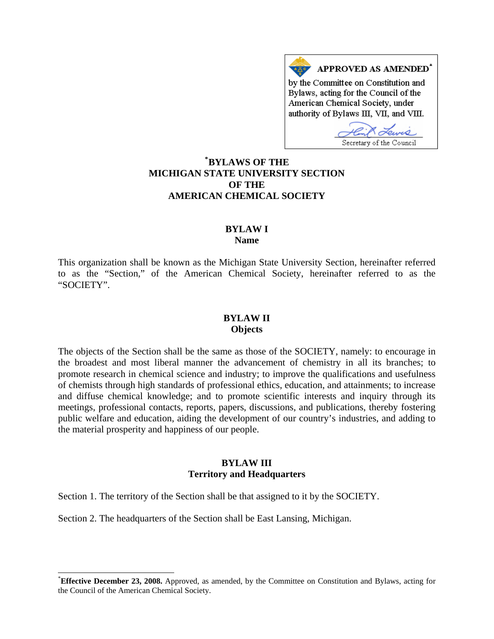# APPROVED AS AMENDED<sup>\*</sup> by the Committee on Constitution and Bylaws, acting for the Council of the American Chemical Society, under authority of Bylaws III, VII, and VIII.

**[\\*](#page-0-0) BYLAWS OF THE MICHIGAN STATE UNIVERSITY SECTION OF THE AMERICAN CHEMICAL SOCIETY** 

# **BYLAW I Name**

This organization shall be known as the Michigan State University Section, hereinafter referred to as the "Section," of the American Chemical Society, hereinafter referred to as the "SOCIETY".

#### **BYLAW II Objects**

The objects of the Section shall be the same as those of the SOCIETY, namely: to encourage in the broadest and most liberal manner the advancement of chemistry in all its branches; to promote research in chemical science and industry; to improve the qualifications and usefulness of chemists through high standards of professional ethics, education, and attainments; to increase and diffuse chemical knowledge; and to promote scientific interests and inquiry through its meetings, professional contacts, reports, papers, discussions, and publications, thereby fostering public welfare and education, aiding the development of our country's industries, and adding to the material prosperity and happiness of our people.

## **BYLAW III Territory and Headquarters**

Section 1. The territory of the Section shall be that assigned to it by the SOCIETY.

Section 2. The headquarters of the Section shall be East Lansing, Michigan.

 $\overline{a}$ 

<span id="page-0-0"></span><sup>\*</sup> **Effective December 23, 2008.** Approved, as amended, by the Committee on Constitution and Bylaws, acting for the Council of the American Chemical Society.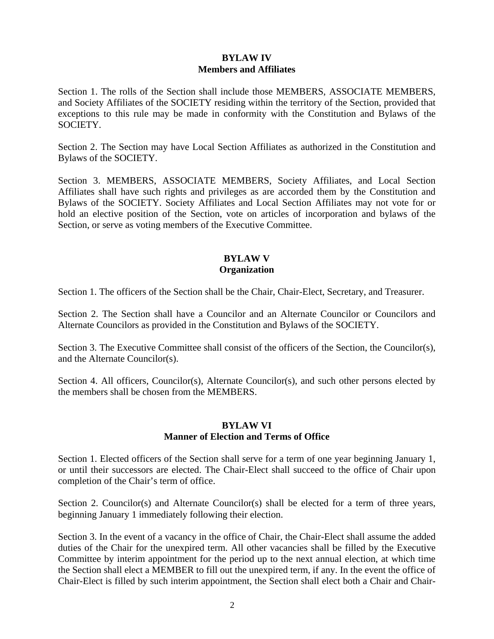# **BYLAW IV Members and Affiliates**

Section 1. The rolls of the Section shall include those MEMBERS, ASSOCIATE MEMBERS, and Society Affiliates of the SOCIETY residing within the territory of the Section, provided that exceptions to this rule may be made in conformity with the Constitution and Bylaws of the SOCIETY.

Section 2. The Section may have Local Section Affiliates as authorized in the Constitution and Bylaws of the SOCIETY.

Section 3. MEMBERS, ASSOCIATE MEMBERS, Society Affiliates, and Local Section Affiliates shall have such rights and privileges as are accorded them by the Constitution and Bylaws of the SOCIETY. Society Affiliates and Local Section Affiliates may not vote for or hold an elective position of the Section, vote on articles of incorporation and bylaws of the Section, or serve as voting members of the Executive Committee.

# **BYLAW V Organization**

Section 1. The officers of the Section shall be the Chair, Chair-Elect, Secretary, and Treasurer.

Section 2. The Section shall have a Councilor and an Alternate Councilor or Councilors and Alternate Councilors as provided in the Constitution and Bylaws of the SOCIETY.

Section 3. The Executive Committee shall consist of the officers of the Section, the Councilor(s), and the Alternate Councilor(s).

Section 4. All officers, Councilor(s), Alternate Councilor(s), and such other persons elected by the members shall be chosen from the MEMBERS.

# **BYLAW VI Manner of Election and Terms of Office**

Section 1. Elected officers of the Section shall serve for a term of one year beginning January 1, or until their successors are elected. The Chair-Elect shall succeed to the office of Chair upon completion of the Chair's term of office.

Section 2. Councilor(s) and Alternate Councilor(s) shall be elected for a term of three years, beginning January 1 immediately following their election.

Section 3. In the event of a vacancy in the office of Chair, the Chair-Elect shall assume the added duties of the Chair for the unexpired term. All other vacancies shall be filled by the Executive Committee by interim appointment for the period up to the next annual election, at which time the Section shall elect a MEMBER to fill out the unexpired term, if any. In the event the office of Chair-Elect is filled by such interim appointment, the Section shall elect both a Chair and Chair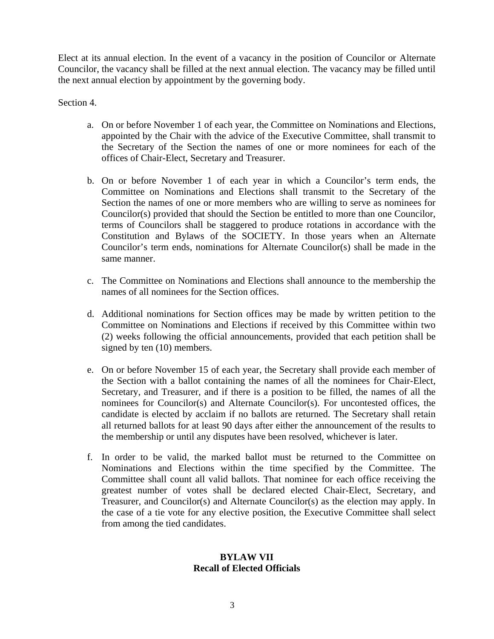Elect at its annual election. In the event of a vacancy in the position of Councilor or Alternate Councilor, the vacancy shall be filled at the next annual election. The vacancy may be filled until the next annual election by appointment by the governing body.

Section 4.

- a. On or before November 1 of each year, the Committee on Nominations and Elections, appointed by the Chair with the advice of the Executive Committee, shall transmit to the Secretary of the Section the names of one or more nominees for each of the offices of Chair-Elect, Secretary and Treasurer.
- b. On or before November 1 of each year in which a Councilor's term ends, the Committee on Nominations and Elections shall transmit to the Secretary of the Section the names of one or more members who are willing to serve as nominees for Councilor(s) provided that should the Section be entitled to more than one Councilor, terms of Councilors shall be staggered to produce rotations in accordance with the Constitution and Bylaws of the SOCIETY. In those years when an Alternate Councilor's term ends, nominations for Alternate Councilor(s) shall be made in the same manner.
- c. The Committee on Nominations and Elections shall announce to the membership the names of all nominees for the Section offices.
- d. Additional nominations for Section offices may be made by written petition to the Committee on Nominations and Elections if received by this Committee within two (2) weeks following the official announcements, provided that each petition shall be signed by ten (10) members.
- e. On or before November 15 of each year, the Secretary shall provide each member of the Section with a ballot containing the names of all the nominees for Chair-Elect, Secretary, and Treasurer, and if there is a position to be filled, the names of all the nominees for Councilor(s) and Alternate Councilor(s). For uncontested offices, the candidate is elected by acclaim if no ballots are returned. The Secretary shall retain all returned ballots for at least 90 days after either the announcement of the results to the membership or until any disputes have been resolved, whichever is later.
- f. In order to be valid, the marked ballot must be returned to the Committee on Nominations and Elections within the time specified by the Committee. The Committee shall count all valid ballots. That nominee for each office receiving the greatest number of votes shall be declared elected Chair-Elect, Secretary, and Treasurer, and Councilor(s) and Alternate Councilor(s) as the election may apply. In the case of a tie vote for any elective position, the Executive Committee shall select from among the tied candidates.

# **BYLAW VII Recall of Elected Officials**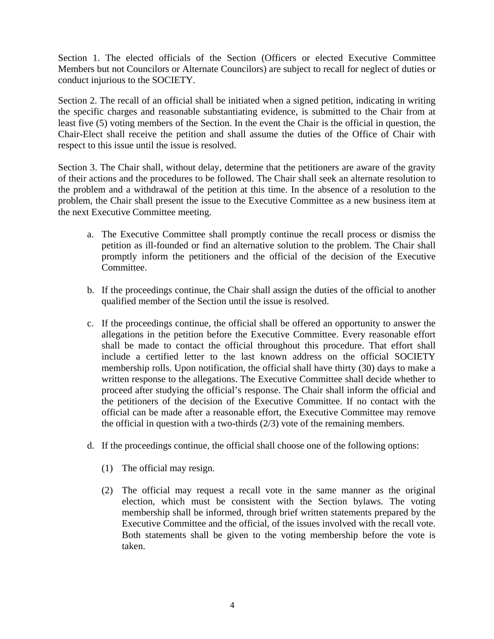Section 1. The elected officials of the Section (Officers or elected Executive Committee Members but not Councilors or Alternate Councilors) are subject to recall for neglect of duties or conduct injurious to the SOCIETY.

Section 2. The recall of an official shall be initiated when a signed petition, indicating in writing the specific charges and reasonable substantiating evidence, is submitted to the Chair from at least five (5) voting members of the Section. In the event the Chair is the official in question, the Chair-Elect shall receive the petition and shall assume the duties of the Office of Chair with respect to this issue until the issue is resolved.

Section 3. The Chair shall, without delay, determine that the petitioners are aware of the gravity of their actions and the procedures to be followed. The Chair shall seek an alternate resolution to the problem and a withdrawal of the petition at this time. In the absence of a resolution to the problem, the Chair shall present the issue to the Executive Committee as a new business item at the next Executive Committee meeting.

- a. The Executive Committee shall promptly continue the recall process or dismiss the petition as ill-founded or find an alternative solution to the problem. The Chair shall promptly inform the petitioners and the official of the decision of the Executive Committee.
- b. If the proceedings continue, the Chair shall assign the duties of the official to another qualified member of the Section until the issue is resolved.
- c. If the proceedings continue, the official shall be offered an opportunity to answer the allegations in the petition before the Executive Committee. Every reasonable effort shall be made to contact the official throughout this procedure. That effort shall include a certified letter to the last known address on the official SOCIETY membership rolls. Upon notification, the official shall have thirty (30) days to make a written response to the allegations. The Executive Committee shall decide whether to proceed after studying the official's response. The Chair shall inform the official and the petitioners of the decision of the Executive Committee. If no contact with the official can be made after a reasonable effort, the Executive Committee may remove the official in question with a two-thirds  $(2/3)$  vote of the remaining members.
- d. If the proceedings continue, the official shall choose one of the following options:
	- (1) The official may resign.
	- (2) The official may request a recall vote in the same manner as the original election, which must be consistent with the Section bylaws. The voting membership shall be informed, through brief written statements prepared by the Executive Committee and the official, of the issues involved with the recall vote. Both statements shall be given to the voting membership before the vote is taken.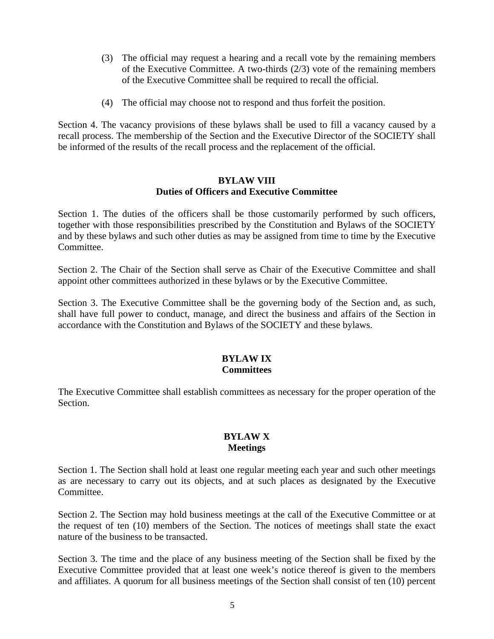- (3) The official may request a hearing and a recall vote by the remaining members of the Executive Committee. A two-thirds (2/3) vote of the remaining members of the Executive Committee shall be required to recall the official.
- (4) The official may choose not to respond and thus forfeit the position.

Section 4. The vacancy provisions of these bylaws shall be used to fill a vacancy caused by a recall process. The membership of the Section and the Executive Director of the SOCIETY shall be informed of the results of the recall process and the replacement of the official.

#### **BYLAW VIII Duties of Officers and Executive Committee**

Section 1. The duties of the officers shall be those customarily performed by such officers, together with those responsibilities prescribed by the Constitution and Bylaws of the SOCIETY and by these bylaws and such other duties as may be assigned from time to time by the Executive Committee.

Section 2. The Chair of the Section shall serve as Chair of the Executive Committee and shall appoint other committees authorized in these bylaws or by the Executive Committee.

Section 3. The Executive Committee shall be the governing body of the Section and, as such, shall have full power to conduct, manage, and direct the business and affairs of the Section in accordance with the Constitution and Bylaws of the SOCIETY and these bylaws.

#### **BYLAW IX Committees**

The Executive Committee shall establish committees as necessary for the proper operation of the Section.

### **BYLAW X Meetings**

Section 1. The Section shall hold at least one regular meeting each year and such other meetings as are necessary to carry out its objects, and at such places as designated by the Executive Committee.

Section 2. The Section may hold business meetings at the call of the Executive Committee or at the request of ten (10) members of the Section. The notices of meetings shall state the exact nature of the business to be transacted.

Section 3. The time and the place of any business meeting of the Section shall be fixed by the Executive Committee provided that at least one week's notice thereof is given to the members and affiliates. A quorum for all business meetings of the Section shall consist of ten (10) percent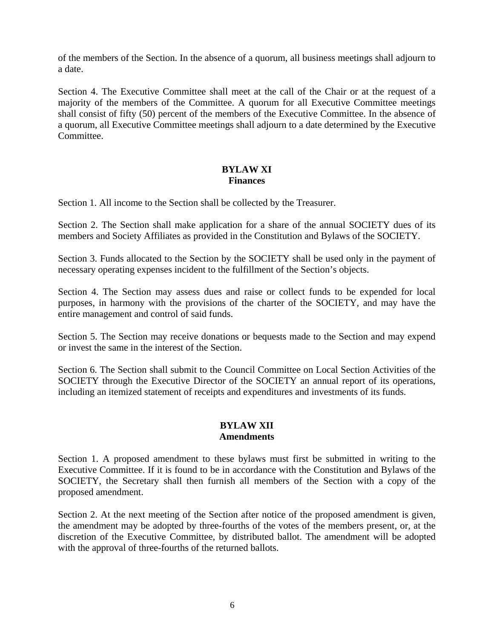of the members of the Section. In the absence of a quorum, all business meetings shall adjourn to a date.

Section 4. The Executive Committee shall meet at the call of the Chair or at the request of a majority of the members of the Committee. A quorum for all Executive Committee meetings shall consist of fifty (50) percent of the members of the Executive Committee. In the absence of a quorum, all Executive Committee meetings shall adjourn to a date determined by the Executive Committee.

# **BYLAW XI Finances**

Section 1. All income to the Section shall be collected by the Treasurer.

Section 2. The Section shall make application for a share of the annual SOCIETY dues of its members and Society Affiliates as provided in the Constitution and Bylaws of the SOCIETY.

Section 3. Funds allocated to the Section by the SOCIETY shall be used only in the payment of necessary operating expenses incident to the fulfillment of the Section's objects.

Section 4. The Section may assess dues and raise or collect funds to be expended for local purposes, in harmony with the provisions of the charter of the SOCIETY, and may have the entire management and control of said funds.

Section 5. The Section may receive donations or bequests made to the Section and may expend or invest the same in the interest of the Section.

Section 6. The Section shall submit to the Council Committee on Local Section Activities of the SOCIETY through the Executive Director of the SOCIETY an annual report of its operations, including an itemized statement of receipts and expenditures and investments of its funds.

# **BYLAW XII Amendments**

Section 1. A proposed amendment to these bylaws must first be submitted in writing to the Executive Committee. If it is found to be in accordance with the Constitution and Bylaws of the SOCIETY, the Secretary shall then furnish all members of the Section with a copy of the proposed amendment.

Section 2. At the next meeting of the Section after notice of the proposed amendment is given, the amendment may be adopted by three-fourths of the votes of the members present, or, at the discretion of the Executive Committee, by distributed ballot. The amendment will be adopted with the approval of three-fourths of the returned ballots.